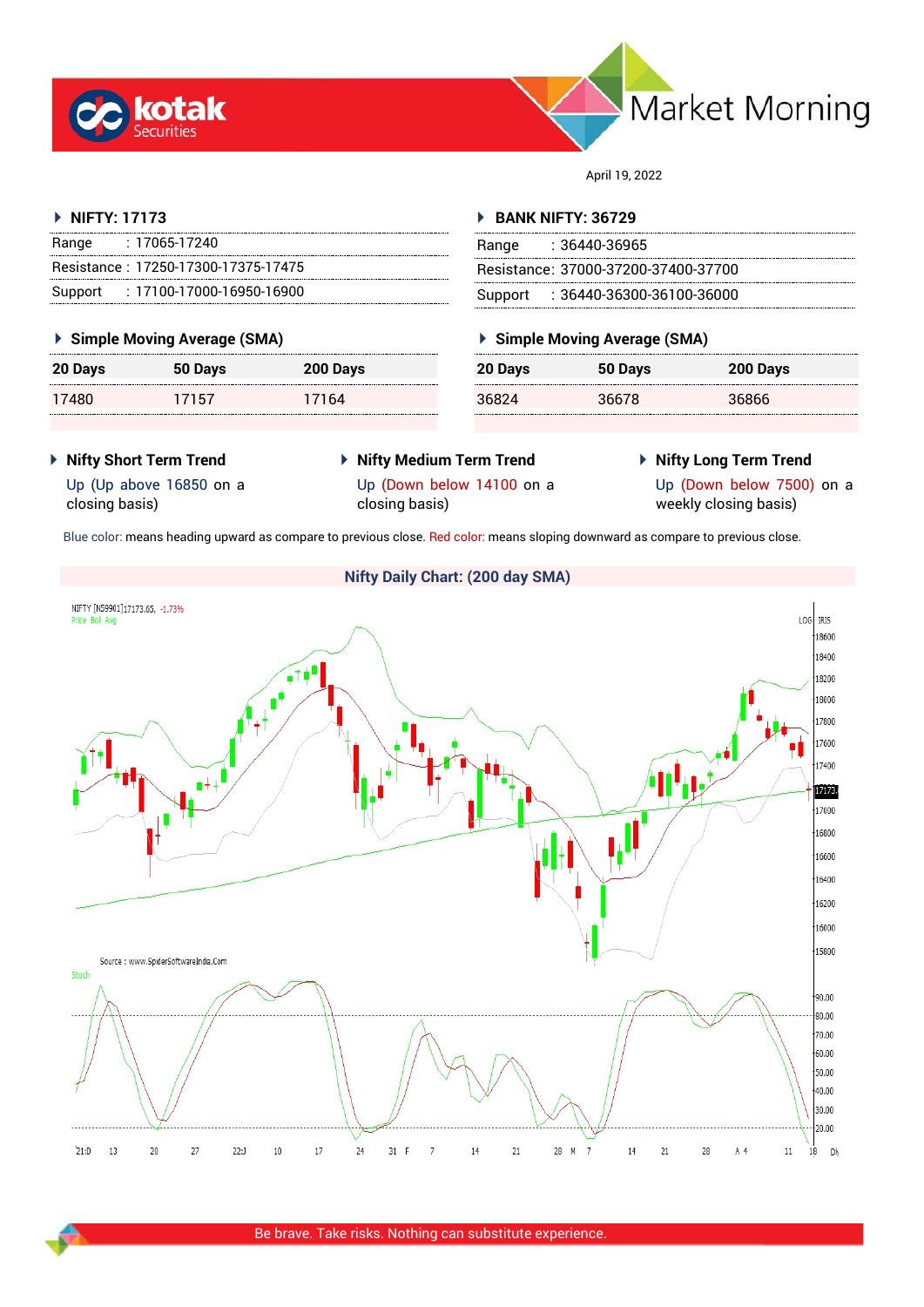



April 19, 2022

#### **NIFTY: 17173**

| Range | : 17065-17240                       |  |
|-------|-------------------------------------|--|
|       | Resistance: 17250-17300-17375-17475 |  |
|       | Support: : 17100-17000-16950-16900  |  |

#### **Simple Moving Average (SMA)**

| <b>20 Days</b> | 50 Days | 200 Days |
|----------------|---------|----------|
| 17480          | 17157   | 17164    |

#### **BANK NIFTY: 36729**

| Range | :36440-36965                        |
|-------|-------------------------------------|
|       | Resistance: 37000-37200-37400-37700 |
|       | Support: : 36440-36300-36100-36000  |

# **Simple Moving Average (SMA)**

| 20 Days | 50 Days | 200 Days |
|---------|---------|----------|
| 36824   | 36678   | 36866    |

- **Nifty Short Term Trend** Up (Up above 16850 on a closing basis)
- **Nifty Medium Term Trend** Up (Down below 14100 on a closing basis)
- **Nifty Long Term Trend**

Up (Down below 7500) on a weekly closing basis)

Blue color: means heading upward as compare to previous close. Red color: means sloping downward as compare to previous close.

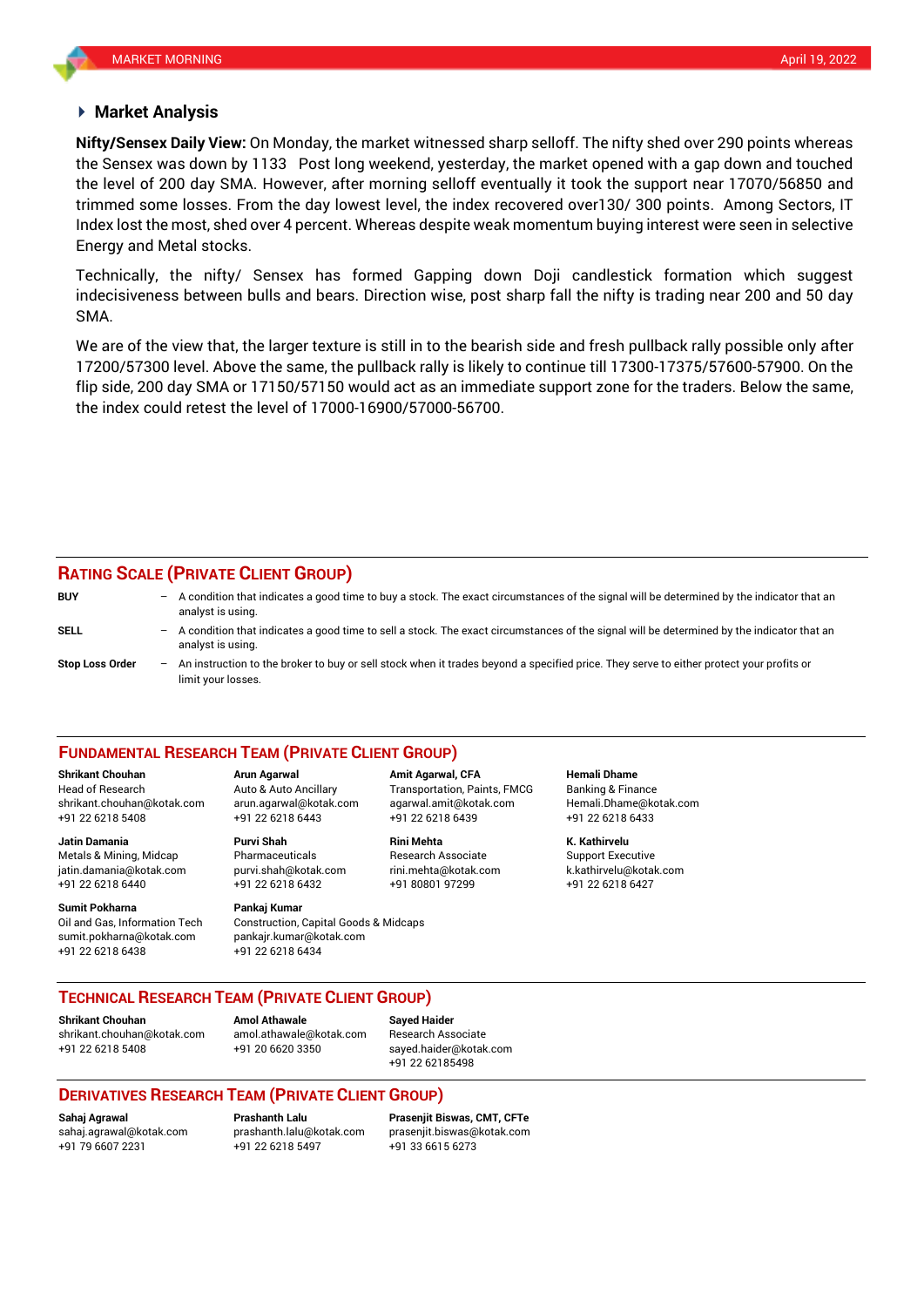#### **Market Analysis**

the Sensex was down by 1133 Post long weekend, yesterday, the market opened with a gap down and touched **Nifty/Sensex Daily View:** On Monday, the market witnessed sharp selloff. The nifty shed over 290 points whereas the level of 200 day SMA. However, after morning selloff eventually it took the support near 17070/56850 and trimmed some losses. From the day lowest level, the index recovered over130/ 300 points. Among Sectors, IT Index lost the most, shed over 4 percent. Whereas despite weak momentum buying interest were seen in selective Energy and Metal stocks.

Technically, the nifty/ Sensex has formed Gapping down Doji candlestick formation which suggest indecisiveness between bulls and bears. Direction wise, post sharp fall the nifty is trading near 200 and 50 day SMA.

We are of the view that, the larger texture is still in to the bearish side and fresh pullback rally possible only after 17200/57300 level. Above the same, the pullback rally is likely to continue till 17300-17375/57600-57900. On the flip side, 200 day SMA or 17150/57150 would act as an immediate support zone for the traders. Below the same, the index could retest the level of 17000-16900/57000-56700.

#### **RATING SCALE (PRIVATE CLIENT GROUP)**

**BUY** – A condition that indicates a good time to buy a stock. The exact circumstances of the signal will be determined by the indicator that an analyst is using. **SELL** – A condition that indicates a good time to sell a stock. The exact circumstances of the signal will be determined by the indicator that an analyst is using. **Stop Loss Order** – An instruction to the broker to buy or sell stock when it trades beyond a specified price. They serve to either protect your profits or limit your losses.

#### **FUNDAMENTAL RESEARCH TEAM (PRIVATE CLIENT GROUP)**

Head of Research Auto & Auto Ancillary Transportation, Paints, FMCG Banking & Finance [shrikant.chouhan@kotak.com](mailto:shrikant.chouhan@kotak.com) arun.agarwal@kotak.com agarwal.amit@kotak.com Hemali.Dhame@kotak.com

**Jatin Damania Purvi Shah Rini Mehta K. Kathirvelu** Metals & Mining, Midcap Pharmaceuticals Research Associate Support Executive jatin.damania@kotak.com [purvi.shah@kotak.com](mailto:purvi.shah@kotak.com) rini.mehta@kotak.com [k.kathirvelu@kotak.com](mailto:k.kathirvelu@kotak.com) +91 22 6218 6440 +91 22 6218 6432 +91 80801 97299 +91 22 6218 6427

**Sumit Pokharna** Pankaj Kumar Oil and Gas, Information Tech Construction, Capital Goods & Midcaps sumit.pokharna@kotak.com pankajr.kumar@kotak.com

+91 22 6218 5408 +91 22 6218 6443 +91 22 6218 6439 +91 22 6218 6433

+91 22 6218 6438 +91 22 6218 6434

**Shrikant Chouhan Arun Agarwal Amit Agarwal, CFA Hemali Dhame**

## **TECHNICAL RESEARCH TEAM (PRIVATE CLIENT GROUP)**

**Shrikant Chouhan Amol Athawale Sayed Haider** [shrikant.chouhan@kotak.com](mailto:shrikant.chouhan@kotak.com) [amol.athawale@kotak.com](mailto:amol.athawale@kotak.com) Research Associate +91 22 6218 5408 +91 20 6620 3350 [sayed.haider@kotak.com](mailto:sayed.haider@kotak.com)

+91 22 62185498

## **DERIVATIVES RESEARCH TEAM (PRIVATE CLIENT GROUP)**

+91 79 6607 2231 +91 22 6218 5497 +91 33 6615 6273

**Sahaj Agrawal Prashanth Lalu Prasenjit Biswas, CMT, CFTe** [sahaj.agrawal@kotak.com](mailto:sahaj.agrawal@kotak.com) [prashanth.lalu@kotak.com](mailto:prashanth.lalu@kotak.com) [prasenjit.biswas@kotak.com](mailto:prasenjit.biswas@kotak.com)